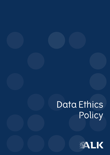# Data Ethics Policy